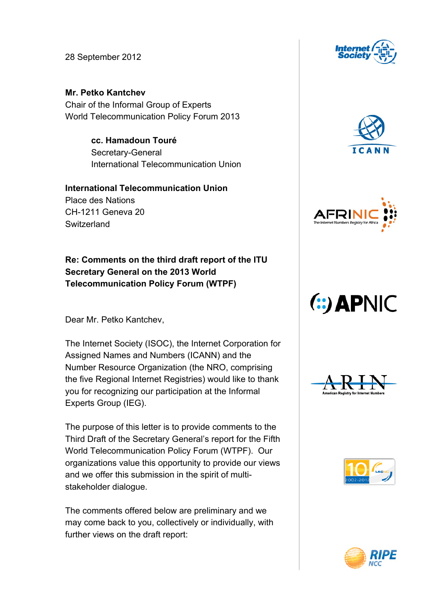28 September 2012

**Mr. Petko Kantchev** Chair of the Informal Group of Experts World Telecommunication Policy Forum 2013

> **cc. Hamadoun Touré** Secretary-General International Telecommunication Union

## **International Telecommunication Union** Place des Nations CH-1211 Geneva 20 **Switzerland**

**Re: Comments on the third draft report of the ITU Secretary General on the 2013 World Telecommunication Policy Forum (WTPF)**

Dear Mr. Petko Kantchev,

The Internet Society (ISOC), the Internet Corporation for Assigned Names and Numbers (ICANN) and the Number Resource Organization (the NRO, comprising the five Regional Internet Registries) would like to thank you for recognizing our participation at the Informal Experts Group (IEG).

The purpose of this letter is to provide comments to the Third Draft of the Secretary General's report for the Fifth World Telecommunication Policy Forum (WTPF). Our organizations value this opportunity to provide our views and we offer this submission in the spirit of multistakeholder dialogue.

The comments offered below are preliminary and we may come back to you, collectively or individually, with further views on the draft report:











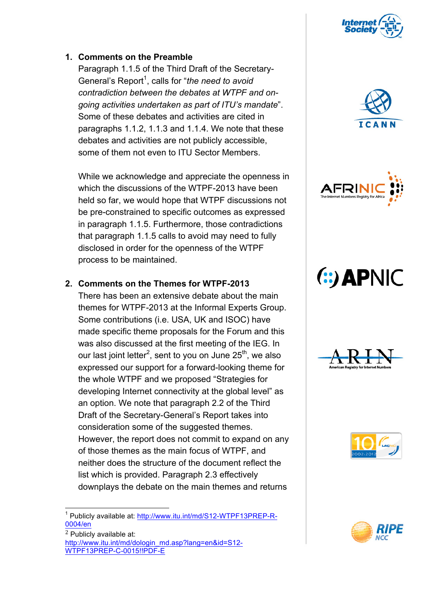

### **1. Comments on the Preamble**

Paragraph 1.1.5 of the Third Draft of the Secretary-General's Report<sup>1</sup>, calls for "*the need to avoid contradiction between the debates at WTPF and ongoing activities undertaken as part of ITU's mandate*". Some of these debates and activities are cited in paragraphs 1.1.2, 1.1.3 and 1.1.4. We note that these debates and activities are not publicly accessible, some of them not even to ITU Sector Members.

While we acknowledge and appreciate the openness in which the discussions of the WTPF-2013 have been held so far, we would hope that WTPF discussions not be pre-constrained to specific outcomes as expressed in paragraph 1.1.5. Furthermore, those contradictions that paragraph 1.1.5 calls to avoid may need to fully disclosed in order for the openness of the WTPF process to be maintained.

### **2. Comments on the Themes for WTPF-2013**

There has been an extensive debate about the main themes for WTPF-2013 at the Informal Experts Group. Some contributions (i.e. USA, UK and ISOC) have made specific theme proposals for the Forum and this was also discussed at the first meeting of the IEG. In our last joint letter<sup>2</sup>, sent to you on June 25<sup>th</sup>, we also expressed our support for a forward-looking theme for the whole WTPF and we proposed "Strategies for developing Internet connectivity at the global level" as an option. We note that paragraph 2.2 of the Third Draft of the Secretary-General's Report takes into consideration some of the suggested themes. However, the report does not commit to expand on any of those themes as the main focus of WTPF, and neither does the structure of the document reflect the list which is provided. Paragraph 2.3 effectively downplays the debate on the main themes and returns





# (:) APNIC







<sup>&</sup>lt;sup>1</sup> Publicly available at: http://www.itu.int/md/S12-WTPF13PREP-R-0004/en

<sup>2</sup> Publicly available at: http://www.itu.int/md/dologin\_md.asp?lang=en&id=S12- WTPF13PREP-C-0015!!PDF-E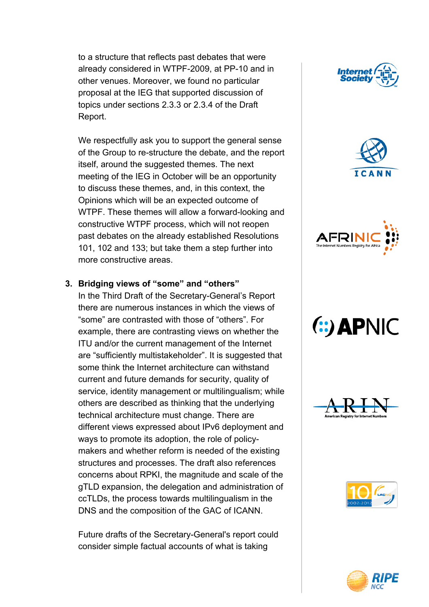to a structure that reflects past debates that were already considered in WTPF-2009, at PP-10 and in other venues. Moreover, we found no particular proposal at the IEG that supported discussion of topics under sections 2.3.3 or 2.3.4 of the Draft Report.

We respectfully ask you to support the general sense of the Group to re-structure the debate, and the report itself, around the suggested themes. The next meeting of the IEG in October will be an opportunity to discuss these themes, and, in this context, the Opinions which will be an expected outcome of WTPF. These themes will allow a forward-looking and constructive WTPF process, which will not reopen past debates on the already established Resolutions 101, 102 and 133; but take them a step further into more constructive areas.

### **3. Bridging views of "some" and "others"**

In the Third Draft of the Secretary-General's Report there are numerous instances in which the views of "some" are contrasted with those of "others". For example, there are contrasting views on whether the ITU and/or the current management of the Internet are "sufficiently multistakeholder". It is suggested that some think the Internet architecture can withstand current and future demands for security, quality of service, identity management or multilingualism; while others are described as thinking that the underlying technical architecture must change. There are different views expressed about IPv6 deployment and ways to promote its adoption, the role of policymakers and whether reform is needed of the existing structures and processes. The draft also references concerns about RPKI, the magnitude and scale of the gTLD expansion, the delegation and administration of ccTLDs, the process towards multilingualism in the DNS and the composition of the GAC of ICANN.

Future drafts of the Secretary-General's report could consider simple factual accounts of what is taking